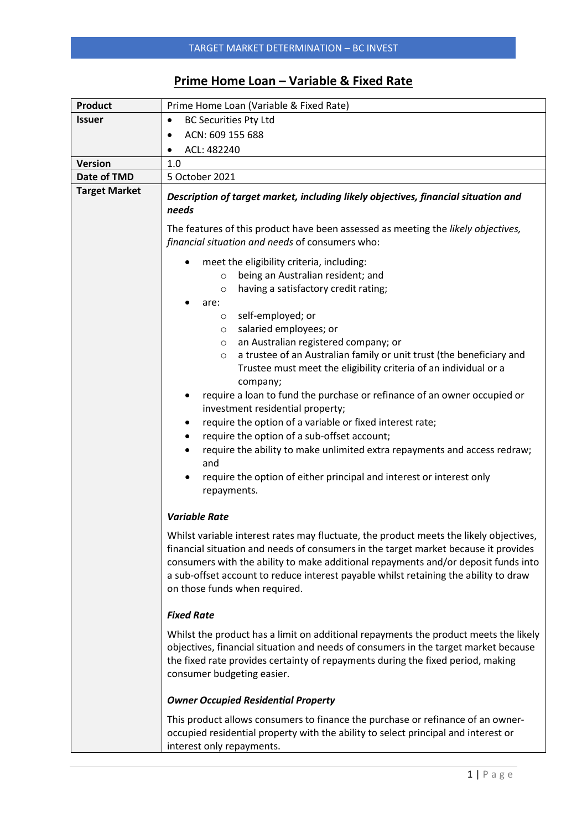## **Prime Home Loan – Variable & Fixed Rate**

| <b>Product</b>       | Prime Home Loan (Variable & Fixed Rate)                                                                                                                                                                                                                                                                                                                                                                                                                                                                                                                                                                                                                                                                                                                                           |  |  |  |  |  |
|----------------------|-----------------------------------------------------------------------------------------------------------------------------------------------------------------------------------------------------------------------------------------------------------------------------------------------------------------------------------------------------------------------------------------------------------------------------------------------------------------------------------------------------------------------------------------------------------------------------------------------------------------------------------------------------------------------------------------------------------------------------------------------------------------------------------|--|--|--|--|--|
| <b>Issuer</b>        | <b>BC Securities Pty Ltd</b><br>$\bullet$                                                                                                                                                                                                                                                                                                                                                                                                                                                                                                                                                                                                                                                                                                                                         |  |  |  |  |  |
|                      | ACN: 609 155 688<br>٠                                                                                                                                                                                                                                                                                                                                                                                                                                                                                                                                                                                                                                                                                                                                                             |  |  |  |  |  |
|                      | ACL: 482240<br>٠                                                                                                                                                                                                                                                                                                                                                                                                                                                                                                                                                                                                                                                                                                                                                                  |  |  |  |  |  |
| <b>Version</b>       | 1.0                                                                                                                                                                                                                                                                                                                                                                                                                                                                                                                                                                                                                                                                                                                                                                               |  |  |  |  |  |
| Date of TMD          | 5 October 2021                                                                                                                                                                                                                                                                                                                                                                                                                                                                                                                                                                                                                                                                                                                                                                    |  |  |  |  |  |
| <b>Target Market</b> | Description of target market, including likely objectives, financial situation and<br>needs                                                                                                                                                                                                                                                                                                                                                                                                                                                                                                                                                                                                                                                                                       |  |  |  |  |  |
|                      | The features of this product have been assessed as meeting the likely objectives,<br>financial situation and needs of consumers who:                                                                                                                                                                                                                                                                                                                                                                                                                                                                                                                                                                                                                                              |  |  |  |  |  |
|                      | meet the eligibility criteria, including:<br>$\bullet$<br>being an Australian resident; and<br>$\circ$<br>having a satisfactory credit rating;<br>$\circ$<br>are:<br>self-employed; or<br>$\circ$<br>salaried employees; or<br>$\circ$<br>an Australian registered company; or<br>$\circ$<br>a trustee of an Australian family or unit trust (the beneficiary and<br>$\circ$<br>Trustee must meet the eligibility criteria of an individual or a<br>company;<br>require a loan to fund the purchase or refinance of an owner occupied or<br>investment residential property;<br>require the option of a variable or fixed interest rate;<br>require the option of a sub-offset account;<br>$\bullet$<br>require the ability to make unlimited extra repayments and access redraw; |  |  |  |  |  |
|                      | and<br>require the option of either principal and interest or interest only<br>repayments.                                                                                                                                                                                                                                                                                                                                                                                                                                                                                                                                                                                                                                                                                        |  |  |  |  |  |
|                      | <b>Variable Rate</b>                                                                                                                                                                                                                                                                                                                                                                                                                                                                                                                                                                                                                                                                                                                                                              |  |  |  |  |  |
|                      | Whilst variable interest rates may fluctuate, the product meets the likely objectives,<br>financial situation and needs of consumers in the target market because it provides<br>consumers with the ability to make additional repayments and/or deposit funds into<br>a sub-offset account to reduce interest payable whilst retaining the ability to draw<br>on those funds when required.                                                                                                                                                                                                                                                                                                                                                                                      |  |  |  |  |  |
|                      | <b>Fixed Rate</b>                                                                                                                                                                                                                                                                                                                                                                                                                                                                                                                                                                                                                                                                                                                                                                 |  |  |  |  |  |
|                      | Whilst the product has a limit on additional repayments the product meets the likely<br>objectives, financial situation and needs of consumers in the target market because<br>the fixed rate provides certainty of repayments during the fixed period, making<br>consumer budgeting easier.<br><b>Owner Occupied Residential Property</b>                                                                                                                                                                                                                                                                                                                                                                                                                                        |  |  |  |  |  |
|                      |                                                                                                                                                                                                                                                                                                                                                                                                                                                                                                                                                                                                                                                                                                                                                                                   |  |  |  |  |  |
|                      | This product allows consumers to finance the purchase or refinance of an owner-<br>occupied residential property with the ability to select principal and interest or<br>interest only repayments.                                                                                                                                                                                                                                                                                                                                                                                                                                                                                                                                                                                |  |  |  |  |  |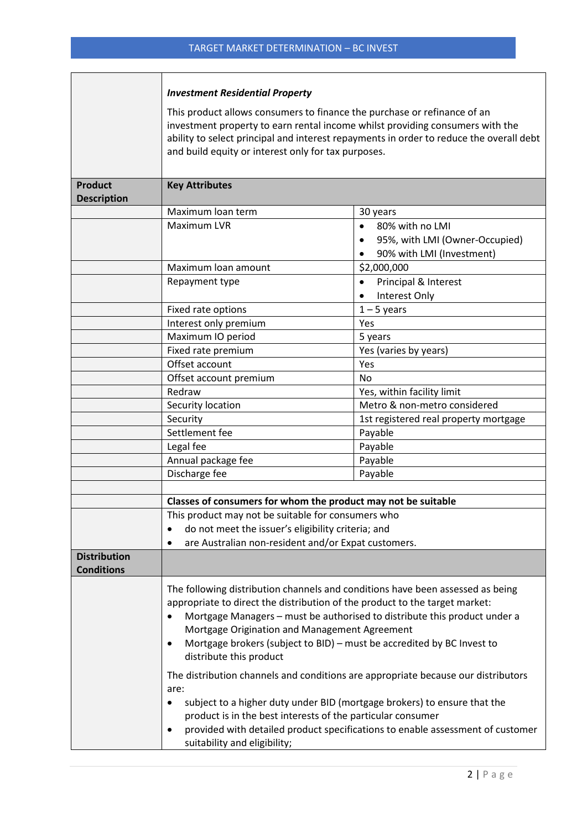r.

|                                          | <b>Investment Residential Property</b>                                                                                                                                                                                                                                                                                                                                                                        |                                                                                                          |  |  |  |  |  |
|------------------------------------------|---------------------------------------------------------------------------------------------------------------------------------------------------------------------------------------------------------------------------------------------------------------------------------------------------------------------------------------------------------------------------------------------------------------|----------------------------------------------------------------------------------------------------------|--|--|--|--|--|
|                                          | This product allows consumers to finance the purchase or refinance of an<br>investment property to earn rental income whilst providing consumers with the<br>ability to select principal and interest repayments in order to reduce the overall debt<br>and build equity or interest only for tax purposes.                                                                                                   |                                                                                                          |  |  |  |  |  |
| <b>Product</b><br><b>Description</b>     | <b>Key Attributes</b>                                                                                                                                                                                                                                                                                                                                                                                         |                                                                                                          |  |  |  |  |  |
|                                          | Maximum loan term                                                                                                                                                                                                                                                                                                                                                                                             | 30 years                                                                                                 |  |  |  |  |  |
|                                          | Maximum LVR                                                                                                                                                                                                                                                                                                                                                                                                   | 80% with no LMI<br>$\bullet$<br>95%, with LMI (Owner-Occupied)<br>$\bullet$<br>90% with LMI (Investment) |  |  |  |  |  |
|                                          | Maximum loan amount                                                                                                                                                                                                                                                                                                                                                                                           | \$2,000,000                                                                                              |  |  |  |  |  |
|                                          | Repayment type                                                                                                                                                                                                                                                                                                                                                                                                | Principal & Interest<br>$\bullet$<br>Interest Only                                                       |  |  |  |  |  |
|                                          | Fixed rate options                                                                                                                                                                                                                                                                                                                                                                                            | $1 - 5$ years                                                                                            |  |  |  |  |  |
|                                          | Interest only premium                                                                                                                                                                                                                                                                                                                                                                                         | Yes                                                                                                      |  |  |  |  |  |
|                                          | Maximum IO period                                                                                                                                                                                                                                                                                                                                                                                             | 5 years                                                                                                  |  |  |  |  |  |
|                                          | Fixed rate premium                                                                                                                                                                                                                                                                                                                                                                                            | Yes (varies by years)                                                                                    |  |  |  |  |  |
|                                          | Offset account                                                                                                                                                                                                                                                                                                                                                                                                | Yes                                                                                                      |  |  |  |  |  |
|                                          | Offset account premium                                                                                                                                                                                                                                                                                                                                                                                        | No                                                                                                       |  |  |  |  |  |
|                                          | Redraw<br>Security location                                                                                                                                                                                                                                                                                                                                                                                   | Yes, within facility limit<br>Metro & non-metro considered                                               |  |  |  |  |  |
|                                          | Security                                                                                                                                                                                                                                                                                                                                                                                                      | 1st registered real property mortgage                                                                    |  |  |  |  |  |
|                                          | Settlement fee                                                                                                                                                                                                                                                                                                                                                                                                | Payable                                                                                                  |  |  |  |  |  |
|                                          | Legal fee                                                                                                                                                                                                                                                                                                                                                                                                     | Payable                                                                                                  |  |  |  |  |  |
|                                          | Annual package fee                                                                                                                                                                                                                                                                                                                                                                                            | Payable                                                                                                  |  |  |  |  |  |
|                                          | Discharge fee                                                                                                                                                                                                                                                                                                                                                                                                 | Payable                                                                                                  |  |  |  |  |  |
|                                          |                                                                                                                                                                                                                                                                                                                                                                                                               |                                                                                                          |  |  |  |  |  |
|                                          | Classes of consumers for whom the product may not be suitable                                                                                                                                                                                                                                                                                                                                                 |                                                                                                          |  |  |  |  |  |
|                                          | This product may not be suitable for consumers who                                                                                                                                                                                                                                                                                                                                                            |                                                                                                          |  |  |  |  |  |
|                                          | do not meet the issuer's eligibility criteria; and<br>$\bullet$                                                                                                                                                                                                                                                                                                                                               |                                                                                                          |  |  |  |  |  |
|                                          | are Australian non-resident and/or Expat customers.<br>٠                                                                                                                                                                                                                                                                                                                                                      |                                                                                                          |  |  |  |  |  |
| <b>Distribution</b><br><b>Conditions</b> |                                                                                                                                                                                                                                                                                                                                                                                                               |                                                                                                          |  |  |  |  |  |
|                                          | The following distribution channels and conditions have been assessed as being<br>appropriate to direct the distribution of the product to the target market:<br>Mortgage Managers - must be authorised to distribute this product under a<br>$\bullet$<br>Mortgage Origination and Management Agreement<br>Mortgage brokers (subject to BID) - must be accredited by BC Invest to<br>distribute this product |                                                                                                          |  |  |  |  |  |
|                                          | The distribution channels and conditions are appropriate because our distributors<br>are:<br>subject to a higher duty under BID (mortgage brokers) to ensure that the<br>product is in the best interests of the particular consumer<br>provided with detailed product specifications to enable assessment of customer<br>$\bullet$<br>suitability and eligibility;                                           |                                                                                                          |  |  |  |  |  |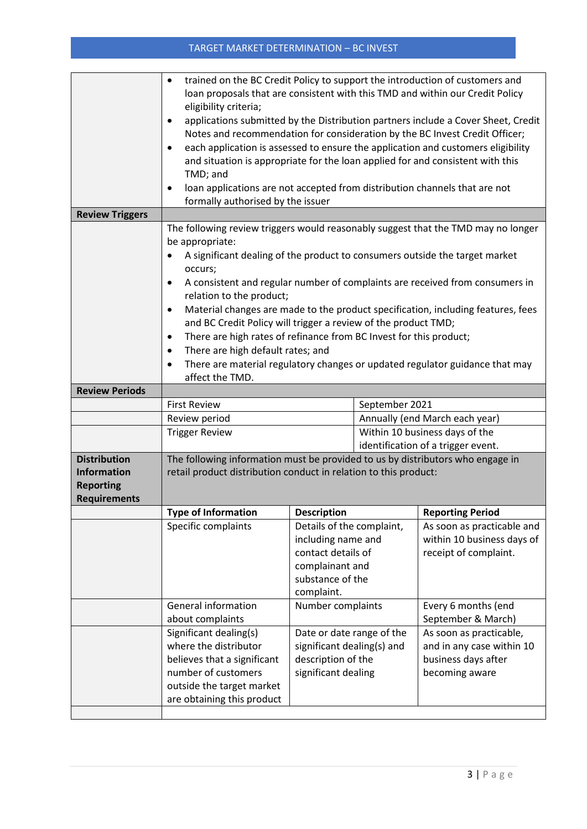## TARGET MARKET DETERMINATION – BC INVEST

|                                           | trained on the BC Credit Policy to support the introduction of customers and<br>$\bullet$              |                                |                                |                                                                             |  |  |  |
|-------------------------------------------|--------------------------------------------------------------------------------------------------------|--------------------------------|--------------------------------|-----------------------------------------------------------------------------|--|--|--|
|                                           | loan proposals that are consistent with this TMD and within our Credit Policy<br>eligibility criteria; |                                |                                |                                                                             |  |  |  |
|                                           | applications submitted by the Distribution partners include a Cover Sheet, Credit<br>$\bullet$         |                                |                                |                                                                             |  |  |  |
|                                           |                                                                                                        |                                |                                | Notes and recommendation for consideration by the BC Invest Credit Officer; |  |  |  |
|                                           | each application is assessed to ensure the application and customers eligibility<br>$\bullet$          |                                |                                |                                                                             |  |  |  |
|                                           | and situation is appropriate for the loan applied for and consistent with this                         |                                |                                |                                                                             |  |  |  |
|                                           | TMD; and<br>loan applications are not accepted from distribution channels that are not<br>$\bullet$    |                                |                                |                                                                             |  |  |  |
|                                           | formally authorised by the issuer                                                                      |                                |                                |                                                                             |  |  |  |
| <b>Review Triggers</b>                    |                                                                                                        |                                |                                |                                                                             |  |  |  |
|                                           | The following review triggers would reasonably suggest that the TMD may no longer                      |                                |                                |                                                                             |  |  |  |
|                                           | be appropriate:                                                                                        |                                |                                |                                                                             |  |  |  |
|                                           | A significant dealing of the product to consumers outside the target market                            |                                |                                |                                                                             |  |  |  |
|                                           | occurs;<br>A consistent and regular number of complaints are received from consumers in<br>$\bullet$   |                                |                                |                                                                             |  |  |  |
|                                           | relation to the product;                                                                               |                                |                                |                                                                             |  |  |  |
|                                           | Material changes are made to the product specification, including features, fees<br>$\bullet$          |                                |                                |                                                                             |  |  |  |
|                                           | and BC Credit Policy will trigger a review of the product TMD;                                         |                                |                                |                                                                             |  |  |  |
|                                           | There are high rates of refinance from BC Invest for this product;<br>$\bullet$                        |                                |                                |                                                                             |  |  |  |
|                                           | There are high default rates; and<br>$\bullet$                                                         |                                |                                |                                                                             |  |  |  |
|                                           | There are material regulatory changes or updated regulator guidance that may<br>affect the TMD.        |                                |                                |                                                                             |  |  |  |
| <b>Review Periods</b>                     |                                                                                                        |                                |                                |                                                                             |  |  |  |
|                                           | <b>First Review</b>                                                                                    |                                | September 2021                 |                                                                             |  |  |  |
|                                           | Review period                                                                                          |                                | Annually (end March each year) |                                                                             |  |  |  |
|                                           | <b>Trigger Review</b>                                                                                  |                                | Within 10 business days of the |                                                                             |  |  |  |
|                                           |                                                                                                        |                                |                                | identification of a trigger event.                                          |  |  |  |
| <b>Distribution</b><br><b>Information</b> | The following information must be provided to us by distributors who engage in                         |                                |                                |                                                                             |  |  |  |
| <b>Reporting</b>                          | retail product distribution conduct in relation to this product:                                       |                                |                                |                                                                             |  |  |  |
| <b>Requirements</b>                       |                                                                                                        |                                |                                |                                                                             |  |  |  |
|                                           | <b>Type of Information</b>                                                                             | <b>Description</b>             |                                | <b>Reporting Period</b>                                                     |  |  |  |
|                                           | Specific complaints                                                                                    | Details of the complaint,      |                                | As soon as practicable and                                                  |  |  |  |
|                                           |                                                                                                        | including name and             |                                | within 10 business days of                                                  |  |  |  |
|                                           |                                                                                                        | contact details of             |                                | receipt of complaint.                                                       |  |  |  |
|                                           |                                                                                                        | complainant and                |                                |                                                                             |  |  |  |
|                                           |                                                                                                        | substance of the<br>complaint. |                                |                                                                             |  |  |  |
|                                           | <b>General information</b>                                                                             | Number complaints              |                                | Every 6 months (end                                                         |  |  |  |
|                                           | about complaints                                                                                       |                                |                                | September & March)                                                          |  |  |  |
|                                           | Significant dealing(s)                                                                                 | Date or date range of the      |                                | As soon as practicable,                                                     |  |  |  |
|                                           | where the distributor                                                                                  | significant dealing(s) and     |                                | and in any case within 10                                                   |  |  |  |
|                                           | believes that a significant                                                                            | description of the             |                                | business days after                                                         |  |  |  |
|                                           | number of customers                                                                                    | significant dealing            |                                | becoming aware                                                              |  |  |  |
|                                           | outside the target market<br>are obtaining this product                                                |                                |                                |                                                                             |  |  |  |
|                                           |                                                                                                        |                                |                                |                                                                             |  |  |  |